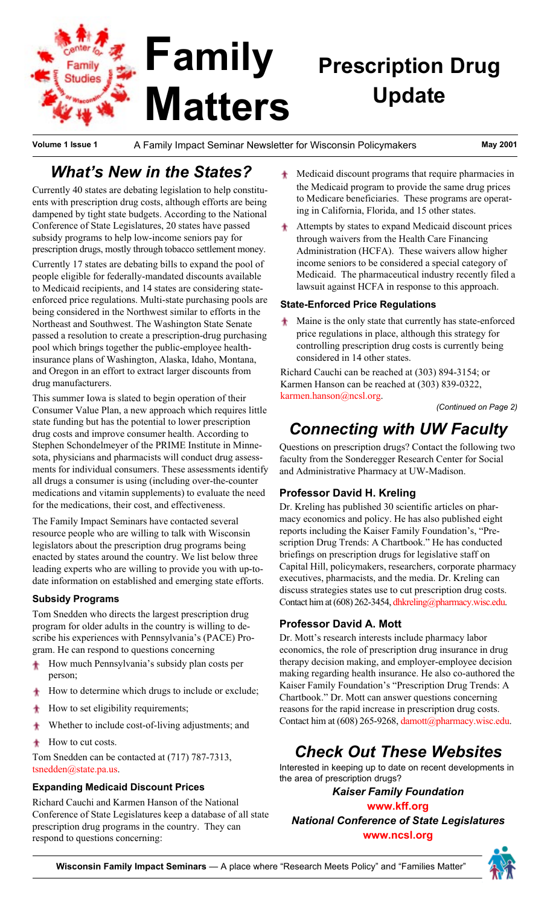## **Family Prescription Drug** Family tudies **Update Matters**

**Volume 1 Issue 1** A Family Impact Seminar Newsletter for Wisconsin Policymakers **May 2001**

## *Whatís New in the States?*

Currently 40 states are debating legislation to help constituents with prescription drug costs, although efforts are being dampened by tight state budgets. According to the National Conference of State Legislatures, 20 states have passed subsidy programs to help low-income seniors pay for prescription drugs, mostly through tobacco settlement money.

Currently 17 states are debating bills to expand the pool of people eligible for federally-mandated discounts available to Medicaid recipients, and 14 states are considering stateenforced price regulations. Multi-state purchasing pools are being considered in the Northwest similar to efforts in the Northeast and Southwest. The Washington State Senate passed a resolution to create a prescription-drug purchasing pool which brings together the public-employee healthinsurance plans of Washington, Alaska, Idaho, Montana, and Oregon in an effort to extract larger discounts from drug manufacturers.

This summer Iowa is slated to begin operation of their Consumer Value Plan, a new approach which requires little state funding but has the potential to lower prescription drug costs and improve consumer health. According to Stephen Schondelmeyer of the PRIME Institute in Minnesota, physicians and pharmacists will conduct drug assessments for individual consumers. These assessments identify all drugs a consumer is using (including over-the-counter medications and vitamin supplements) to evaluate the need for the medications, their cost, and effectiveness.

The Family Impact Seminars have contacted several resource people who are willing to talk with Wisconsin legislators about the prescription drug programs being enacted by states around the country. We list below three leading experts who are willing to provide you with up-todate information on established and emerging state efforts.

### **Subsidy Programs**

Tom Snedden who directs the largest prescription drug program for older adults in the country is willing to describe his experiences with Pennsylvania's (PACE) Program. He can respond to questions concerning

- How much Pennsylvania's subsidy plan costs per person;
- How to determine which drugs to include or exclude;
- How to set eligibility requirements;
- Whether to include cost-of-living adjustments; and
- How to cut costs. ×

Tom Snedden can be contacted at (717) 787-7313, [tsnedden@state.pa.us.](mailto:tsnedden@state.pa.us)

#### **Expanding Medicaid Discount Prices**

Richard Cauchi and Karmen Hanson of the National Conference of State Legislatures keep a database of all state prescription drug programs in the country. They can respond to questions concerning:

- Medicaid discount programs that require pharmacies in the Medicaid program to provide the same drug prices to Medicare beneficiaries. These programs are operating in California, Florida, and 15 other states.
- Attempts by states to expand Medicaid discount prices through waivers from the Health Care Financing Administration (HCFA). These waivers allow higher income seniors to be considered a special category of Medicaid. The pharmaceutical industry recently filed a lawsuit against HCFA in response to this approach.

#### **State-Enforced Price Regulations**

Maine is the only state that currently has state-enforced price regulations in place, although this strategy for controlling prescription drug costs is currently being considered in 14 other states.

Richard Cauchi can be reached at (303) 894-3154; or Karmen Hanson can be reached at (303) 839-0322, [karmen.hanson@ncsl.org.](mailto:karmen.hanson@ncsl.org)

*(Continued on Page 2)*

# *Connecting with UW Faculty*

Questions on prescription drugs? Contact the following two faculty from the Sonderegger Research Center for Social and Administrative Pharmacy at UW-Madison.

### **Professor David H. Kreling**

Dr. Kreling has published 30 scientific articles on pharmacy economics and policy. He has also published eight reports including the Kaiser Family Foundation's, "Prescription Drug Trends: A Chartbook." He has conducted briefings on prescription drugs for legislative staff on Capital Hill, policymakers, researchers, corporate pharmacy executives, pharmacists, and the media. Dr. Kreling can discuss strategies states use to cut prescription drug costs. Contact him at (608) 262-3454, [dhkreling@pharmacy.wisc.edu.](mailto:dhkreling@pharmacy.wisc.edu)

### **Professor David A. Mott**

Dr. Mott's research interests include pharmacy labor economics, the role of prescription drug insurance in drug therapy decision making, and employer-employee decision making regarding health insurance. He also co-authored the Kaiser Family Foundation's "Prescription Drug Trends: A Chartbook." Dr. Mott can answer questions concerning reasons for the rapid increase in prescription drug costs. Contact him at (608) 265-9268[, damott@pharmacy.wisc.edu.](mailto:damott@pharmacy.wisc.edu)

# *Check Out These Websites*

Interested in keeping up to date on recent developments in the area of prescription drugs?

*[Kaiser Family Foundation](http://www.kff.org)* **www.kff.org** *[National Conference of State Legislatures](http://www.ncsl.org)* **www.ncsl.org**